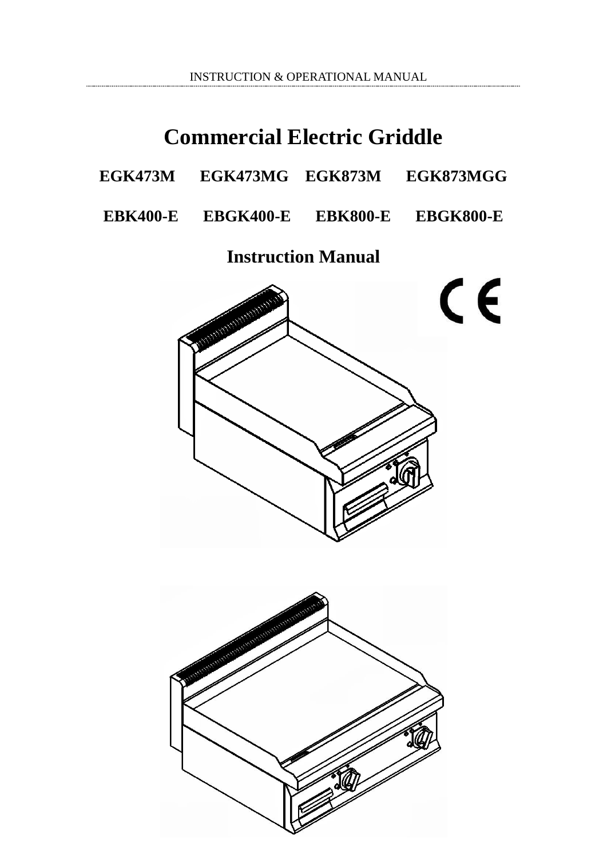INSTRUCTION & OPERATIONAL MANUAL

# **Commercial Electric Griddle**

| EGK473MG<br>EGK873MGG<br><b>EGK873M</b><br>EGK473M |
|----------------------------------------------------|
|----------------------------------------------------|

**EBK400-E EBGK400-E EBK800-E EBGK800-E**

**Instruction Manual**

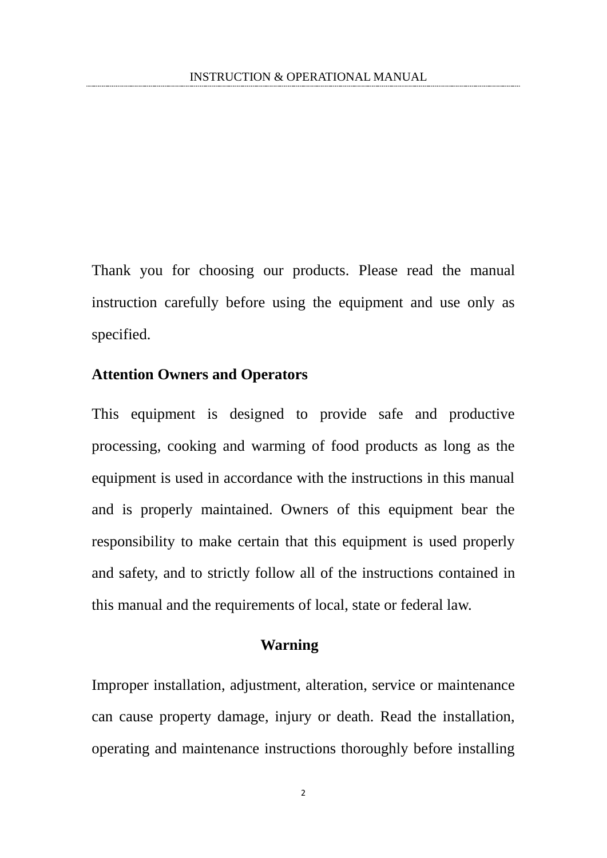Thank you for choosing our products. Please read the manual instruction carefully before using the equipment and use only as specified.

#### **Attention Owners and Operators**

This equipment is designed to provide safe and productive processing, cooking and warming of food products as long as the equipment is used in accordance with the instructions in this manual and is properly maintained. Owners of this equipment bear the responsibility to make certain that this equipment is used properly and safety, and to strictly follow all of the instructions contained in this manual and the requirements of local, state or federal law.

#### **Warning**

Improper installation, adjustment, alteration, service or maintenance can cause property damage, injury or death. Read the installation, operating and maintenance instructions thoroughly before installing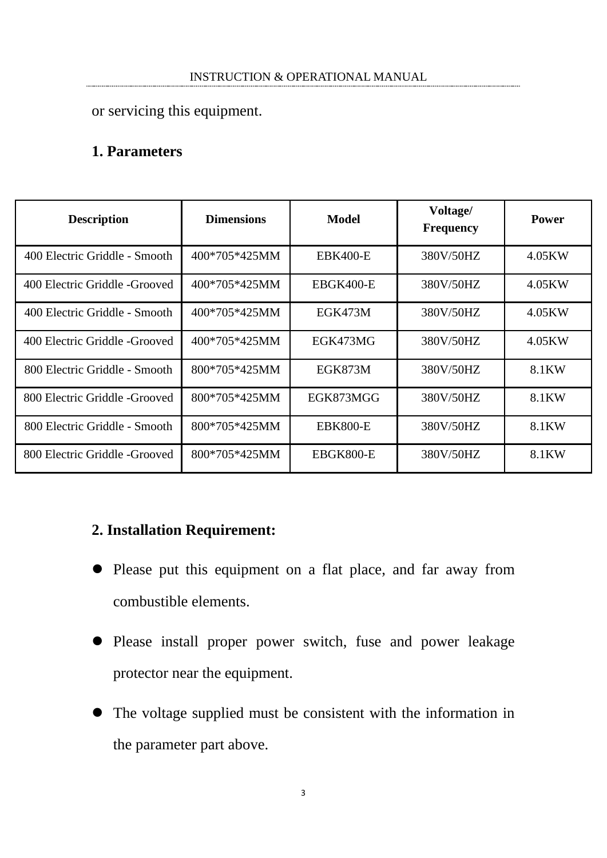or servicing this equipment.

### **1. Parameters**

| <b>Description</b>            | <b>Dimensions</b> | Model           | Voltage/<br><b>Frequency</b> | <b>Power</b> |
|-------------------------------|-------------------|-----------------|------------------------------|--------------|
| 400 Electric Griddle - Smooth | 400*705*425MM     | <b>EBK400-E</b> | 380V/50HZ                    | 4.05KW       |
| 400 Electric Griddle -Grooved | 400*705*425MM     | EBGK400-E       | 380V/50HZ                    | 4.05KW       |
| 400 Electric Griddle - Smooth | 400*705*425MM     | EGK473M         | 380V/50HZ                    | 4.05KW       |
| 400 Electric Griddle -Grooved | 400*705*425MM     | EGK473MG        | 380V/50HZ                    | 4.05KW       |
| 800 Electric Griddle - Smooth | 800*705*425MM     | EGK873M         | 380V/50HZ                    | 8.1KW        |
| 800 Electric Griddle -Grooved | 800*705*425MM     | EGK873MGG       | 380V/50HZ                    | 8.1KW        |
| 800 Electric Griddle - Smooth | 800*705*425MM     | <b>EBK800-E</b> | 380V/50HZ                    | 8.1KW        |
| 800 Electric Griddle -Grooved | 800*705*425MM     | EBGK800-E       | 380V/50HZ                    | 8.1KW        |

### **2. Installation Requirement:**

- Please put this equipment on a flat place, and far away from combustible elements.
- Please install proper power switch, fuse and power leakage protector near the equipment.
- The voltage supplied must be consistent with the information in the parameter part above.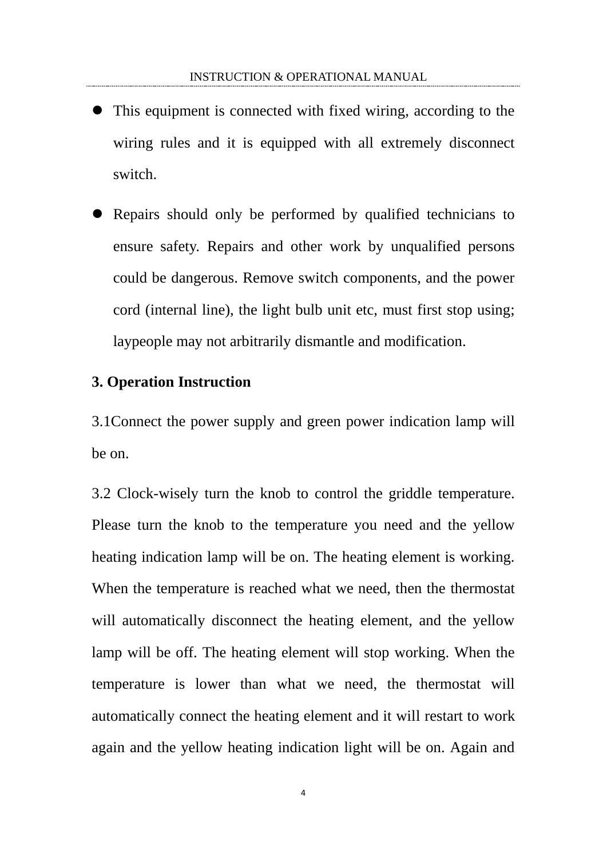- This equipment is connected with fixed wiring, according to the wiring rules and it is equipped with all extremely disconnect switch.
- Repairs should only be performed by qualified technicians to ensure safety. Repairs and other work by unqualified persons could be dangerous. Remove switch components, and the power cord (internal line), the light bulb unit etc, must first stop using; laypeople may not arbitrarily [dismantle](app:ds:dismantle) and modification.

#### **3. Operation Instruction**

3.1Connect the power supply and green power indication lamp will be on.

3.2 Clock-wisely turn the knob to control the griddle temperature. Please turn the knob to the temperature you need and the yellow heating indication lamp will be on. The heating element is working. When the temperature is reached what we need, then the thermostat will automatically disconnect the heating element, and the yellow lamp will be off. The heating element will stop working. When the temperature is lower than what we need, the thermostat will automatically connect the heating element and it will restart to work again and the yellow heating indication light will be on. Again and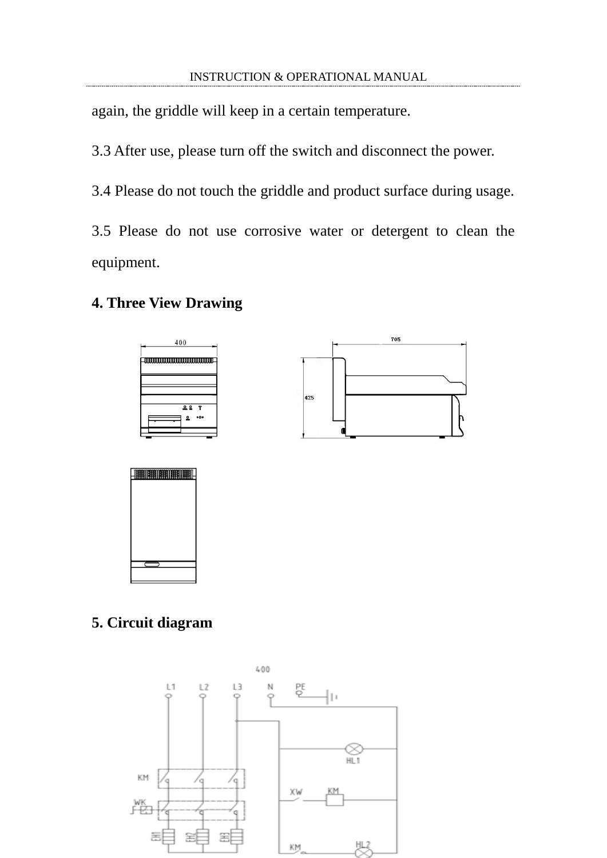again, the griddle will keep in a certain temperature.

3.3 After use, please turn off the switch and disconnect the power.

3.4 Please do not touch the griddle and product surface during usage.

3.5 Please do not use corrosive water or detergent to clean the equipment.

### **4. Three View Drawing**







## **5. Circuit diagram**

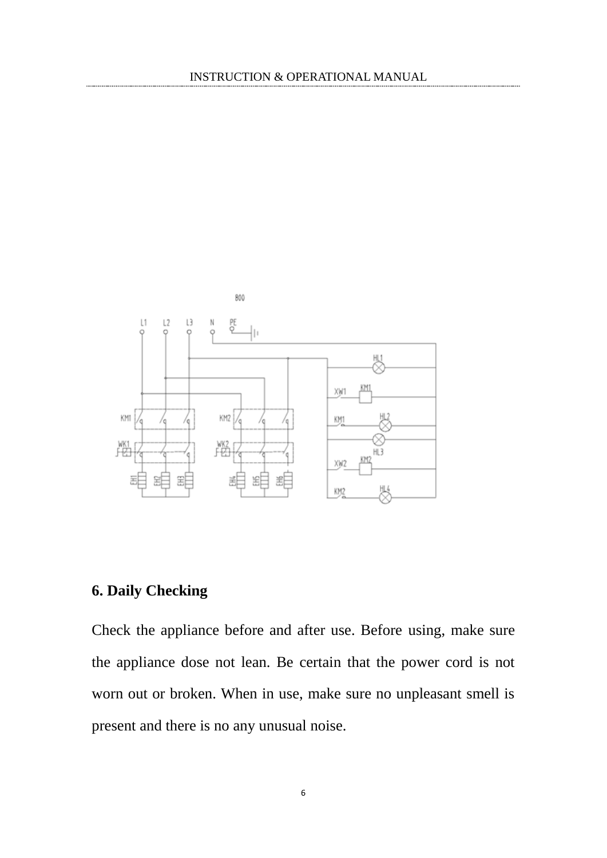

# **6. Daily Checking**

Check the appliance before and after use. Before using, make sure the appliance dose not lean. Be certain that the power cord is not worn out or broken. When in use, make sure no unpleasant smell is present and there is no any unusual noise.